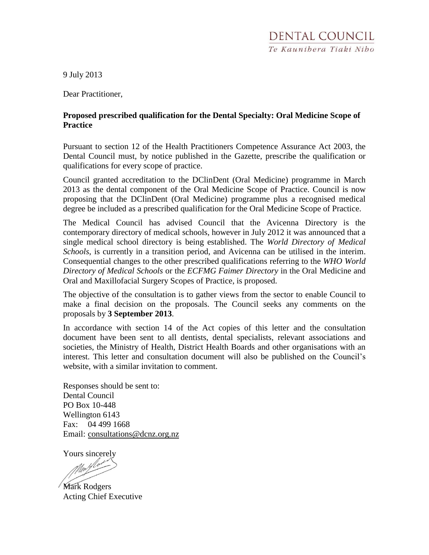9 July 2013

Dear Practitioner,

### **Proposed prescribed qualification for the Dental Specialty: Oral Medicine Scope of Practice**

Pursuant to section 12 of the Health Practitioners Competence Assurance Act 2003, the Dental Council must, by notice published in the Gazette, prescribe the qualification or qualifications for every scope of practice.

Council granted accreditation to the DClinDent (Oral Medicine) programme in March 2013 as the dental component of the Oral Medicine Scope of Practice. Council is now proposing that the DClinDent (Oral Medicine) programme plus a recognised medical degree be included as a prescribed qualification for the Oral Medicine Scope of Practice.

The Medical Council has advised Council that the Avicenna Directory is the contemporary directory of medical schools, however in July 2012 it was announced that a single medical school directory is being established. The *World Directory of Medical Schools*, is currently in a transition period, and Avicenna can be utilised in the interim. Consequential changes to the other prescribed qualifications referring to the *WHO World Directory of Medical Schools* or the *ECFMG Faimer Directory* in the Oral Medicine and Oral and Maxillofacial Surgery Scopes of Practice, is proposed.

The objective of the consultation is to gather views from the sector to enable Council to make a final decision on the proposals. The Council seeks any comments on the proposals by **3 September 2013**.

In accordance with section 14 of the Act copies of this letter and the consultation document have been sent to all dentists, dental specialists, relevant associations and societies, the Ministry of Health, District Health Boards and other organisations with an interest. This letter and consultation document will also be published on the Council's website, with a similar invitation to comment.

Responses should be sent to: Dental Council PO Box 10-448 Wellington 6143 Fax: 04 499 1668 Email: [consultations@dcnz.org.nz](mailto:consultations@dcnz.org.nz)

Yours sincerely

Maylo

Mark Rodgers Acting Chief Executive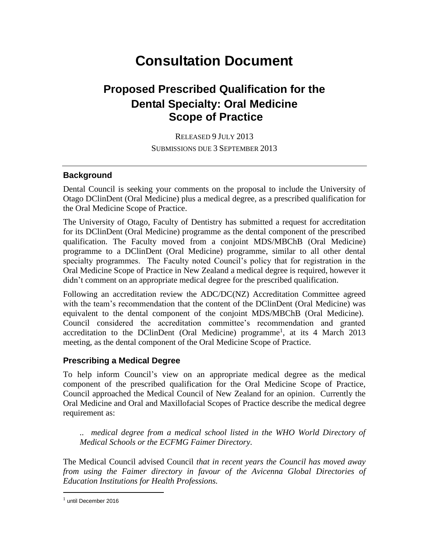# **Consultation Document**

## **Proposed Prescribed Qualification for the Dental Specialty: Oral Medicine Scope of Practice**

RELEASED 9 JULY 2013 SUBMISSIONS DUE 3 SEPTEMBER 2013

#### **Background**

Dental Council is seeking your comments on the proposal to include the University of Otago DClinDent (Oral Medicine) plus a medical degree, as a prescribed qualification for the Oral Medicine Scope of Practice.

The University of Otago, Faculty of Dentistry has submitted a request for accreditation for its DClinDent (Oral Medicine) programme as the dental component of the prescribed qualification. The Faculty moved from a conjoint MDS/MBChB (Oral Medicine) programme to a DClinDent (Oral Medicine) programme, similar to all other dental specialty programmes. The Faculty noted Council's policy that for registration in the Oral Medicine Scope of Practice in New Zealand a medical degree is required, however it didn't comment on an appropriate medical degree for the prescribed qualification.

Following an accreditation review the ADC/DC(NZ) Accreditation Committee agreed with the team's recommendation that the content of the DClinDent (Oral Medicine) was equivalent to the dental component of the conjoint MDS/MBChB (Oral Medicine). Council considered the accreditation committee's recommendation and granted accreditation to the DClinDent (Oral Medicine) programme<sup>1</sup>, at its 4 March 2013 meeting, as the dental component of the Oral Medicine Scope of Practice.

#### **Prescribing a Medical Degree**

To help inform Council's view on an appropriate medical degree as the medical component of the prescribed qualification for the Oral Medicine Scope of Practice, Council approached the Medical Council of New Zealand for an opinion. Currently the Oral Medicine and Oral and Maxillofacial Scopes of Practice describe the medical degree requirement as:

*.. medical degree from a medical school listed in the WHO World Directory of Medical Schools or the ECFMG Faimer Directory.*

The Medical Council advised Council *that in recent years the Council has moved away from using the Faimer directory in favour of the Avicenna Global Directories of Education Institutions for Health Professions.*

<sup>&</sup>lt;sup>1</sup> until December 2016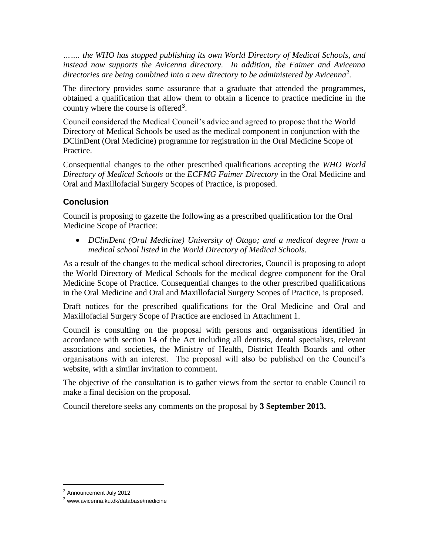*……. the WHO has stopped publishing its own World Directory of Medical Schools, and instead now supports the Avicenna directory. In addition, the Faimer and Avicenna directories are being combined into a new directory to be administered by Avicenna*<sup>2</sup> *.* 

The directory provides some assurance that a graduate that attended the programmes, obtained a qualification that allow them to obtain a licence to practice medicine in the country where the course is offered<sup>3</sup>.

Council considered the Medical Council's advice and agreed to propose that the World Directory of Medical Schools be used as the medical component in conjunction with the DClinDent (Oral Medicine) programme for registration in the Oral Medicine Scope of Practice.

Consequential changes to the other prescribed qualifications accepting the *WHO World Directory of Medical Schools* or the *ECFMG Faimer Directory* in the Oral Medicine and Oral and Maxillofacial Surgery Scopes of Practice, is proposed.

## **Conclusion**

Council is proposing to gazette the following as a prescribed qualification for the Oral Medicine Scope of Practice:

 *DClinDent (Oral Medicine) University of Otago; and a medical degree from a medical school listed* in *the World Directory of Medical Schools.*

As a result of the changes to the medical school directories, Council is proposing to adopt the World Directory of Medical Schools for the medical degree component for the Oral Medicine Scope of Practice. Consequential changes to the other prescribed qualifications in the Oral Medicine and Oral and Maxillofacial Surgery Scopes of Practice, is proposed.

Draft notices for the prescribed qualifications for the Oral Medicine and Oral and Maxillofacial Surgery Scope of Practice are enclosed in Attachment 1.

Council is consulting on the proposal with persons and organisations identified in accordance with section 14 of the Act including all dentists, dental specialists, relevant associations and societies, the Ministry of Health, District Health Boards and other organisations with an interest. The proposal will also be published on the Council's website, with a similar invitation to comment.

The objective of the consultation is to gather views from the sector to enable Council to make a final decision on the proposal.

Council therefore seeks any comments on the proposal by **3 September 2013.**

<sup>2</sup> Announcement July 2012

 $3$  www.avicenna.ku.dk/database/medicine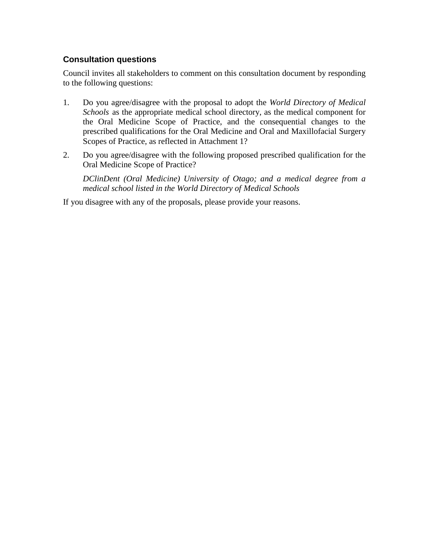## **Consultation questions**

Council invites all stakeholders to comment on this consultation document by responding to the following questions:

- 1. Do you agree/disagree with the proposal to adopt the *World Directory of Medical Schools* as the appropriate medical school directory, as the medical component for the Oral Medicine Scope of Practice, and the consequential changes to the prescribed qualifications for the Oral Medicine and Oral and Maxillofacial Surgery Scopes of Practice, as reflected in Attachment 1?
- 2. Do you agree/disagree with the following proposed prescribed qualification for the Oral Medicine Scope of Practice?

*DClinDent (Oral Medicine) University of Otago; and a medical degree from a medical school listed in the World Directory of Medical Schools*

If you disagree with any of the proposals, please provide your reasons.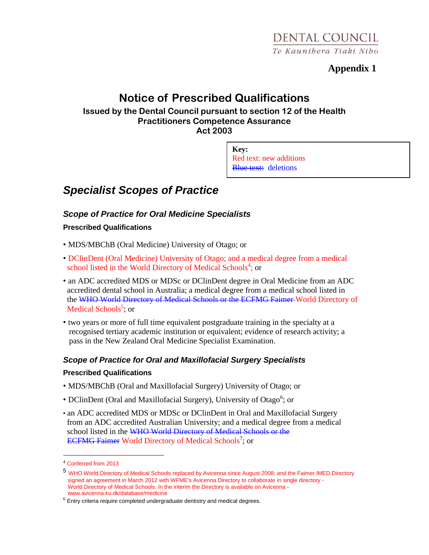## **Appendix 1**

## **Notice of Prescribed Qualifications**

**Issued by the Dental Council pursuant to section 12 of the Health Practitioners Competence Assurance Act 2003**

> **Key:** Red text: new additions Blue text: deletions

## *Specialist Scopes of Practice*

## *Scope of Practice for Oral Medicine Specialists*

### **Prescribed Qualifications**

- MDS/MBChB (Oral Medicine) University of Otago; or
- DClinDent (Oral Medicine) University of Otago; and a medical degree from a medical school listed in the World Directory of Medical Schools<sup>4</sup>; or
- an ADC accredited MDS or MDSc or DClinDent degree in Oral Medicine from an ADC accredited dental school in Australia; a medical degree from a medical school listed in the WHO World Directory of Medical Schools or the ECFMG Faimer World Directory of Medical Schools<sup>5</sup>; or
- two years or more of full time equivalent postgraduate training in the specialty at a recognised tertiary academic institution or equivalent; evidence of research activity; a pass in the New Zealand Oral Medicine Specialist Examination.

### *Scope of Practice for Oral and Maxillofacial Surgery Specialists*

#### **Prescribed Qualifications**

- MDS/MBChB (Oral and Maxillofacial Surgery) University of Otago; or
- DClinDent (Oral and Maxillofacial Surgery), University of Otago<sup>6</sup>; or
- an ADC accredited MDS or MDSc or DClinDent in Oral and Maxillofacial Surgery from an ADC accredited Australian University; and a medical degree from a medical school listed in the WHO World Directory of Medical Schools or the ECFMG Faimer World Directory of Medical Schools<sup>7</sup>; or

<sup>4</sup> Conferred from 2013

<sup>5</sup> WHO World Directory of Medical Schools replaced by Avicenna since August 2008; and the Faimer IMED Directory signed an agreement in March 2012 with WFME's Avicenna Directory to collaborate in single directory -World Directory of Medical Schools. In the interim the Directory is available on Avicenna www.avicenna.ku.dk/database/medicine

 $6$  Entry criteria require completed undergraduate dentistry and medical degrees.